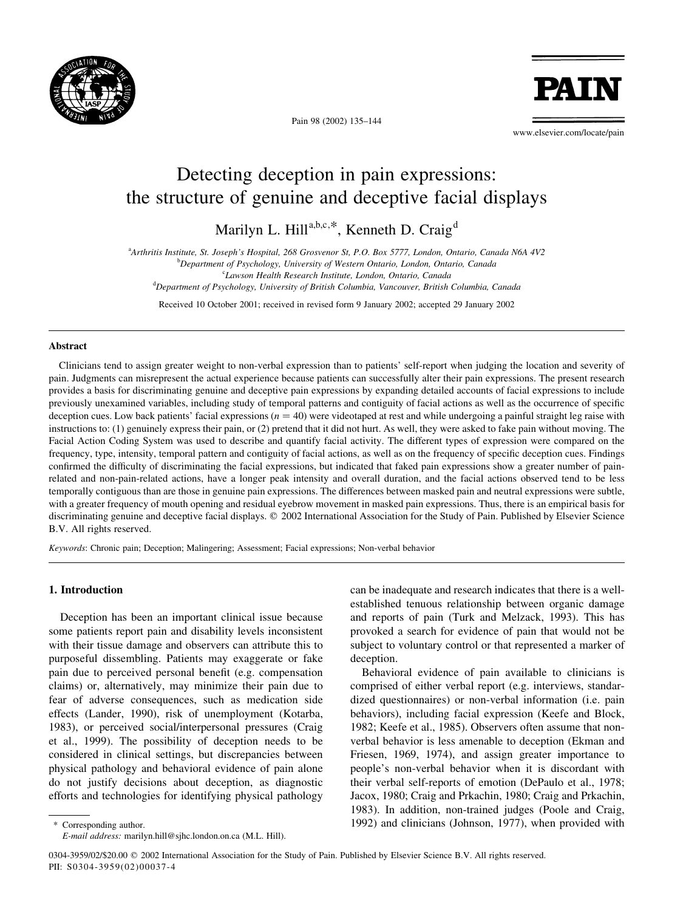

Pain 98 (2002) 135–144

**PAT** 

www.elsevier.com/locate/pain

# Detecting deception in pain expressions: the structure of genuine and deceptive facial displays

Marilyn L. Hill<sup>a,b,c,\*</sup>, Kenneth D. Craig<sup>d</sup>

a Arthritis Institute, St. Joseph's Hospital, 268 Grosvenor St, P.O. Box 5777, London, Ontario, Canada N6A 4V2

<sup>b</sup>Department of Psychology, University of Western Ontario, London, Ontario, Canada

c Lawson Health Research Institute, London, Ontario, Canada

<sup>d</sup>Department of Psychology, University of British Columbia, Vancouver, British Columbia, Canada

Received 10 October 2001; received in revised form 9 January 2002; accepted 29 January 2002

## Abstract

Clinicians tend to assign greater weight to non-verbal expression than to patients' self-report when judging the location and severity of pain. Judgments can misrepresent the actual experience because patients can successfully alter their pain expressions. The present research provides a basis for discriminating genuine and deceptive pain expressions by expanding detailed accounts of facial expressions to include previously unexamined variables, including study of temporal patterns and contiguity of facial actions as well as the occurrence of specific deception cues. Low back patients' facial expressions ( $n = 40$ ) were videotaped at rest and while undergoing a painful straight leg raise with instructions to: (1) genuinely express their pain, or (2) pretend that it did not hurt. As well, they were asked to fake pain without moving. The Facial Action Coding System was used to describe and quantify facial activity. The different types of expression were compared on the frequency, type, intensity, temporal pattern and contiguity of facial actions, as well as on the frequency of specific deception cues. Findings confirmed the difficulty of discriminating the facial expressions, but indicated that faked pain expressions show a greater number of painrelated and non-pain-related actions, have a longer peak intensity and overall duration, and the facial actions observed tend to be less temporally contiguous than are those in genuine pain expressions. The differences between masked pain and neutral expressions were subtle, with a greater frequency of mouth opening and residual eyebrow movement in masked pain expressions. Thus, there is an empirical basis for discriminating genuine and deceptive facial displays. © 2002 International Association for the Study of Pain. Published by Elsevier Science B.V. All rights reserved.

Keywords: Chronic pain; Deception; Malingering; Assessment; Facial expressions; Non-verbal behavior

## 1. Introduction

Deception has been an important clinical issue because some patients report pain and disability levels inconsistent with their tissue damage and observers can attribute this to purposeful dissembling. Patients may exaggerate or fake pain due to perceived personal benefit (e.g. compensation claims) or, alternatively, may minimize their pain due to fear of adverse consequences, such as medication side effects (Lander, 1990), risk of unemployment (Kotarba, 1983), or perceived social/interpersonal pressures (Craig et al., 1999). The possibility of deception needs to be considered in clinical settings, but discrepancies between physical pathology and behavioral evidence of pain alone do not justify decisions about deception, as diagnostic efforts and technologies for identifying physical pathology

can be inadequate and research indicates that there is a wellestablished tenuous relationship between organic damage and reports of pain (Turk and Melzack, 1993). This has provoked a search for evidence of pain that would not be subject to voluntary control or that represented a marker of deception.

Behavioral evidence of pain available to clinicians is comprised of either verbal report (e.g. interviews, standardized questionnaires) or non-verbal information (i.e. pain behaviors), including facial expression (Keefe and Block, 1982; Keefe et al., 1985). Observers often assume that nonverbal behavior is less amenable to deception (Ekman and Friesen, 1969, 1974), and assign greater importance to people's non-verbal behavior when it is discordant with their verbal self-reports of emotion (DePaulo et al., 1978; Jacox, 1980; Craig and Prkachin, 1980; Craig and Prkachin, 1983). In addition, non-trained judges (Poole and Craig, 1992) and clinicians (Johnson, 1977), when provided with

Corresponding author. E-mail address: marilyn.hill@sjhc.london.on.ca (M.L. Hill).

<sup>0304-3959/02/\$20.00 © 2002</sup> International Association for the Study of Pain. Published by Elsevier Science B.V. All rights reserved. PII: S0304-3959(02)00037-4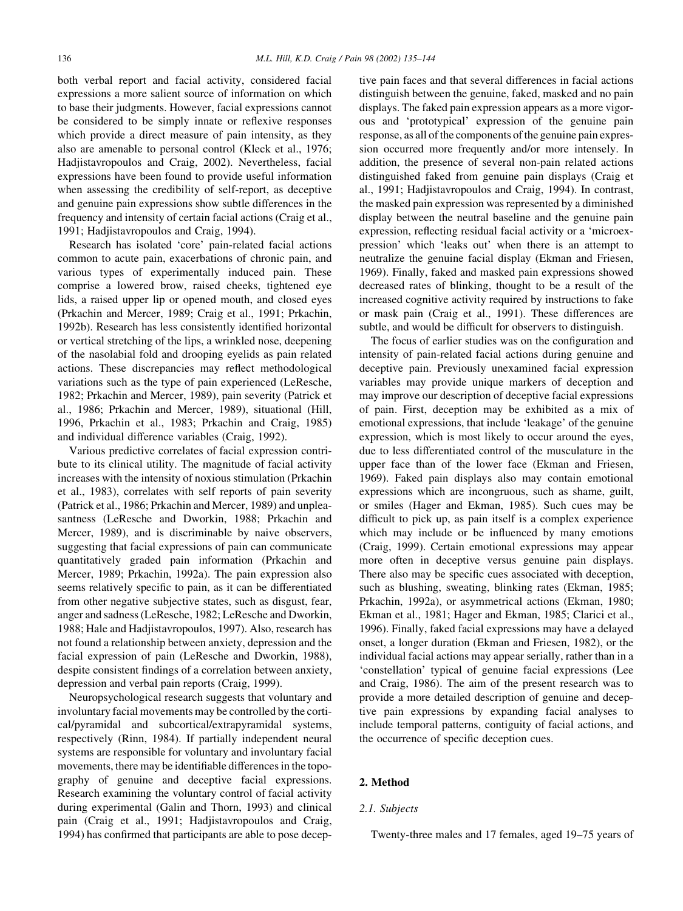both verbal report and facial activity, considered facial expressions a more salient source of information on which to base their judgments. However, facial expressions cannot be considered to be simply innate or reflexive responses which provide a direct measure of pain intensity, as they also are amenable to personal control (Kleck et al., 1976; Hadjistavropoulos and Craig, 2002). Nevertheless, facial expressions have been found to provide useful information when assessing the credibility of self-report, as deceptive and genuine pain expressions show subtle differences in the frequency and intensity of certain facial actions (Craig et al., 1991; Hadjistavropoulos and Craig, 1994).

Research has isolated 'core' pain-related facial actions common to acute pain, exacerbations of chronic pain, and various types of experimentally induced pain. These comprise a lowered brow, raised cheeks, tightened eye lids, a raised upper lip or opened mouth, and closed eyes (Prkachin and Mercer, 1989; Craig et al., 1991; Prkachin, 1992b). Research has less consistently identified horizontal or vertical stretching of the lips, a wrinkled nose, deepening of the nasolabial fold and drooping eyelids as pain related actions. These discrepancies may reflect methodological variations such as the type of pain experienced (LeResche, 1982; Prkachin and Mercer, 1989), pain severity (Patrick et al., 1986; Prkachin and Mercer, 1989), situational (Hill, 1996, Prkachin et al., 1983; Prkachin and Craig, 1985) and individual difference variables (Craig, 1992).

Various predictive correlates of facial expression contribute to its clinical utility. The magnitude of facial activity increases with the intensity of noxious stimulation (Prkachin et al., 1983), correlates with self reports of pain severity (Patrick et al., 1986; Prkachin and Mercer, 1989) and unpleasantness (LeResche and Dworkin, 1988; Prkachin and Mercer, 1989), and is discriminable by naive observers, suggesting that facial expressions of pain can communicate quantitatively graded pain information (Prkachin and Mercer, 1989; Prkachin, 1992a). The pain expression also seems relatively specific to pain, as it can be differentiated from other negative subjective states, such as disgust, fear, anger and sadness (LeResche, 1982; LeResche and Dworkin, 1988; Hale and Hadjistavropoulos, 1997). Also, research has not found a relationship between anxiety, depression and the facial expression of pain (LeResche and Dworkin, 1988), despite consistent findings of a correlation between anxiety, depression and verbal pain reports (Craig, 1999).

Neuropsychological research suggests that voluntary and involuntary facial movements may be controlled by the cortical/pyramidal and subcortical/extrapyramidal systems, respectively (Rinn, 1984). If partially independent neural systems are responsible for voluntary and involuntary facial movements, there may be identifiable differences in the topography of genuine and deceptive facial expressions. Research examining the voluntary control of facial activity during experimental (Galin and Thorn, 1993) and clinical pain (Craig et al., 1991; Hadjistavropoulos and Craig, 1994) has confirmed that participants are able to pose deceptive pain faces and that several differences in facial actions distinguish between the genuine, faked, masked and no pain displays. The faked pain expression appears as a more vigorous and 'prototypical' expression of the genuine pain response, as all of the components of the genuine pain expression occurred more frequently and/or more intensely. In addition, the presence of several non-pain related actions distinguished faked from genuine pain displays (Craig et al., 1991; Hadjistavropoulos and Craig, 1994). In contrast, the masked pain expression was represented by a diminished display between the neutral baseline and the genuine pain expression, reflecting residual facial activity or a 'microexpression' which 'leaks out' when there is an attempt to neutralize the genuine facial display (Ekman and Friesen, 1969). Finally, faked and masked pain expressions showed decreased rates of blinking, thought to be a result of the increased cognitive activity required by instructions to fake or mask pain (Craig et al., 1991). These differences are subtle, and would be difficult for observers to distinguish.

The focus of earlier studies was on the configuration and intensity of pain-related facial actions during genuine and deceptive pain. Previously unexamined facial expression variables may provide unique markers of deception and may improve our description of deceptive facial expressions of pain. First, deception may be exhibited as a mix of emotional expressions, that include 'leakage' of the genuine expression, which is most likely to occur around the eyes, due to less differentiated control of the musculature in the upper face than of the lower face (Ekman and Friesen, 1969). Faked pain displays also may contain emotional expressions which are incongruous, such as shame, guilt, or smiles (Hager and Ekman, 1985). Such cues may be difficult to pick up, as pain itself is a complex experience which may include or be influenced by many emotions (Craig, 1999). Certain emotional expressions may appear more often in deceptive versus genuine pain displays. There also may be specific cues associated with deception, such as blushing, sweating, blinking rates (Ekman, 1985; Prkachin, 1992a), or asymmetrical actions (Ekman, 1980; Ekman et al., 1981; Hager and Ekman, 1985; Clarici et al., 1996). Finally, faked facial expressions may have a delayed onset, a longer duration (Ekman and Friesen, 1982), or the individual facial actions may appear serially, rather than in a 'constellation' typical of genuine facial expressions (Lee and Craig, 1986). The aim of the present research was to provide a more detailed description of genuine and deceptive pain expressions by expanding facial analyses to include temporal patterns, contiguity of facial actions, and the occurrence of specific deception cues.

## 2. Method

## 2.1. Subjects

Twenty-three males and 17 females, aged 19–75 years of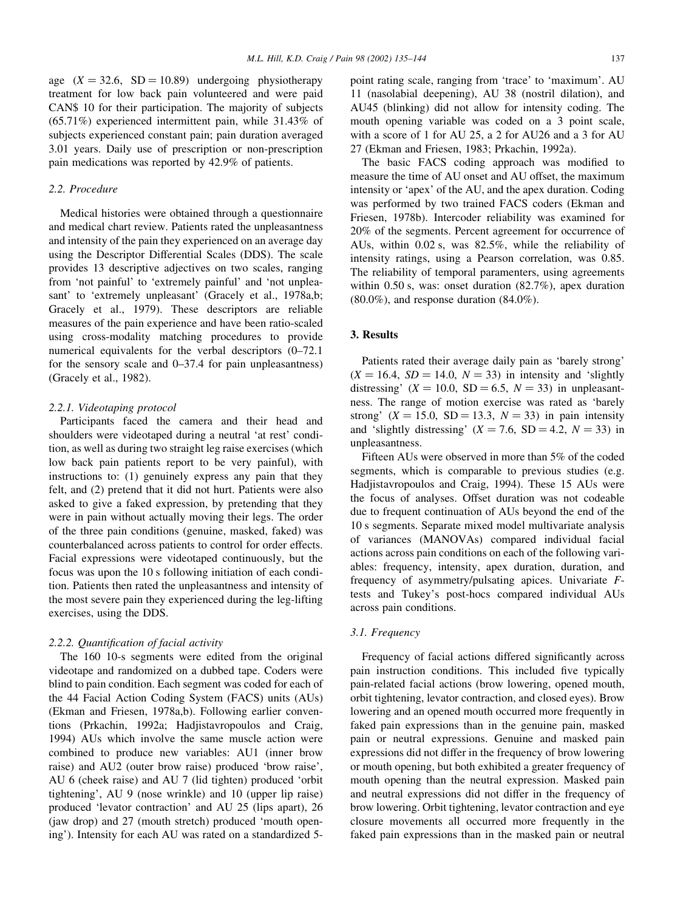age  $(X = 32.6, SD = 10.89)$  undergoing physiotherapy treatment for low back pain volunteered and were paid CAN\$ 10 for their participation. The majority of subjects (65.71%) experienced intermittent pain, while 31.43% of subjects experienced constant pain; pain duration averaged 3.01 years. Daily use of prescription or non-prescription pain medications was reported by 42.9% of patients.

## 2.2. Procedure

Medical histories were obtained through a questionnaire and medical chart review. Patients rated the unpleasantness and intensity of the pain they experienced on an average day using the Descriptor Differential Scales (DDS). The scale provides 13 descriptive adjectives on two scales, ranging from 'not painful' to 'extremely painful' and 'not unpleasant' to 'extremely unpleasant' (Gracely et al., 1978a,b; Gracely et al., 1979). These descriptors are reliable measures of the pain experience and have been ratio-scaled using cross-modality matching procedures to provide numerical equivalents for the verbal descriptors (0–72.1 for the sensory scale and 0–37.4 for pain unpleasantness) (Gracely et al., 1982).

### 2.2.1. Videotaping protocol

Participants faced the camera and their head and shoulders were videotaped during a neutral 'at rest' condition, as well as during two straight leg raise exercises (which low back pain patients report to be very painful), with instructions to: (1) genuinely express any pain that they felt, and (2) pretend that it did not hurt. Patients were also asked to give a faked expression, by pretending that they were in pain without actually moving their legs. The order of the three pain conditions (genuine, masked, faked) was counterbalanced across patients to control for order effects. Facial expressions were videotaped continuously, but the focus was upon the 10 s following initiation of each condition. Patients then rated the unpleasantness and intensity of the most severe pain they experienced during the leg-lifting exercises, using the DDS.

#### 2.2.2. Quantification of facial activity

The 160 10-s segments were edited from the original videotape and randomized on a dubbed tape. Coders were blind to pain condition. Each segment was coded for each of the 44 Facial Action Coding System (FACS) units (AUs) (Ekman and Friesen, 1978a,b). Following earlier conventions (Prkachin, 1992a; Hadjistavropoulos and Craig, 1994) AUs which involve the same muscle action were combined to produce new variables: AU1 (inner brow raise) and AU2 (outer brow raise) produced 'brow raise', AU 6 (cheek raise) and AU 7 (lid tighten) produced 'orbit tightening', AU 9 (nose wrinkle) and 10 (upper lip raise) produced 'levator contraction' and AU 25 (lips apart), 26 (jaw drop) and 27 (mouth stretch) produced 'mouth opening'). Intensity for each AU was rated on a standardized 5point rating scale, ranging from 'trace' to 'maximum'. AU 11 (nasolabial deepening), AU 38 (nostril dilation), and AU45 (blinking) did not allow for intensity coding. The mouth opening variable was coded on a 3 point scale, with a score of 1 for AU 25, a 2 for AU26 and a 3 for AU 27 (Ekman and Friesen, 1983; Prkachin, 1992a).

The basic FACS coding approach was modified to measure the time of AU onset and AU offset, the maximum intensity or 'apex' of the AU, and the apex duration. Coding was performed by two trained FACS coders (Ekman and Friesen, 1978b). Intercoder reliability was examined for 20% of the segments. Percent agreement for occurrence of AUs, within 0.02 s, was 82.5%, while the reliability of intensity ratings, using a Pearson correlation, was 0.85. The reliability of temporal paramenters, using agreements within 0.50 s, was: onset duration (82.7%), apex duration  $(80.0\%)$ , and response duration  $(84.0\%)$ .

## 3. Results

Patients rated their average daily pain as 'barely strong'  $(X = 16.4, SD = 14.0, N = 33)$  in intensity and 'slightly distressing' ( $X = 10.0$ , SD = 6.5,  $N = 33$ ) in unpleasantness. The range of motion exercise was rated as 'barely strong'  $(X = 15.0, SD = 13.3, N = 33)$  in pain intensity and 'slightly distressing'  $(X = 7.6, SD = 4.2, N = 33)$  in unpleasantness.

Fifteen AUs were observed in more than 5% of the coded segments, which is comparable to previous studies (e.g. Hadjistavropoulos and Craig, 1994). These 15 AUs were the focus of analyses. Offset duration was not codeable due to frequent continuation of AUs beyond the end of the 10 s segments. Separate mixed model multivariate analysis of variances (MANOVAs) compared individual facial actions across pain conditions on each of the following variables: frequency, intensity, apex duration, duration, and frequency of asymmetry/pulsating apices. Univariate Ftests and Tukey's post-hocs compared individual AUs across pain conditions.

## 3.1. Frequency

Frequency of facial actions differed significantly across pain instruction conditions. This included five typically pain-related facial actions (brow lowering, opened mouth, orbit tightening, levator contraction, and closed eyes). Brow lowering and an opened mouth occurred more frequently in faked pain expressions than in the genuine pain, masked pain or neutral expressions. Genuine and masked pain expressions did not differ in the frequency of brow lowering or mouth opening, but both exhibited a greater frequency of mouth opening than the neutral expression. Masked pain and neutral expressions did not differ in the frequency of brow lowering. Orbit tightening, levator contraction and eye closure movements all occurred more frequently in the faked pain expressions than in the masked pain or neutral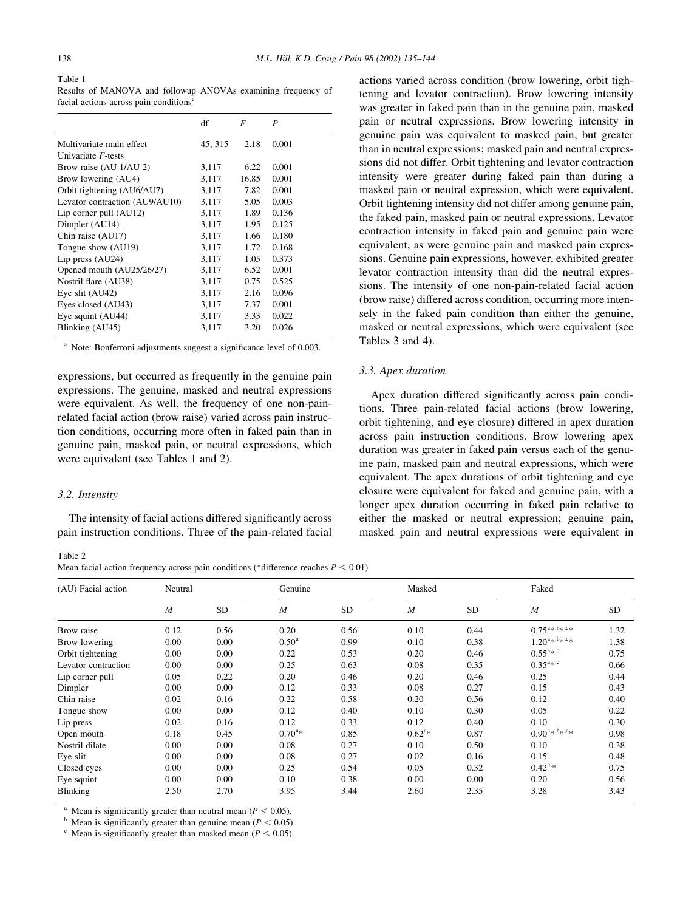#### Table 1

Results of MANOVA and followup ANOVAs examining frequency of facial actions across pain conditions<sup>a</sup>

|                                | df      | F     | P     |
|--------------------------------|---------|-------|-------|
|                                |         |       |       |
| Multivariate main effect       | 45, 315 | 2.18  | 0.001 |
| Univariate F-tests             |         |       |       |
| Brow raise (AU 1/AU 2)         | 3,117   | 6.22  | 0.001 |
| Brow lowering (AU4)            | 3,117   | 16.85 | 0.001 |
| Orbit tightening (AU6/AU7)     | 3,117   | 7.82  | 0.001 |
| Levator contraction (AU9/AU10) | 3,117   | 5.05  | 0.003 |
| Lip corner pull (AU12)         | 3,117   | 1.89  | 0.136 |
| Dimpler (AU14)                 | 3,117   | 1.95  | 0.125 |
| Chin raise (AU17)              | 3,117   | 1.66  | 0.180 |
| Tongue show (AU19)             | 3,117   | 1.72  | 0.168 |
| Lip press $(AU24)$             | 3.117   | 1.05  | 0.373 |
| Opened mouth (AU25/26/27)      | 3,117   | 6.52  | 0.001 |
| Nostril flare (AU38)           | 3,117   | 0.75  | 0.525 |
| Eye slit (AU42)                | 3,117   | 2.16  | 0.096 |
| Eyes closed (AU43)             | 3,117   | 7.37  | 0.001 |
| Eye squint (AU44)              | 3,117   | 3.33  | 0.022 |
| Blinking (AU45)                | 3,117   | 3.20  | 0.026 |

 $a$  Note: Bonferroni adjustments suggest a significance level of 0.003.

expressions, but occurred as frequently in the genuine pain expressions. The genuine, masked and neutral expressions were equivalent. As well, the frequency of one non-painrelated facial action (brow raise) varied across pain instruction conditions, occurring more often in faked pain than in genuine pain, masked pain, or neutral expressions, which were equivalent (see Tables 1 and 2).

#### 3.2. Intensity

The intensity of facial actions differed significantly across pain instruction conditions. Three of the pain-related facial

Table 2 Mean facial action frequency across pain conditions (\*difference reaches  $P < 0.01$ )

actions varied across condition (brow lowering, orbit tightening and levator contraction). Brow lowering intensity was greater in faked pain than in the genuine pain, masked pain or neutral expressions. Brow lowering intensity in genuine pain was equivalent to masked pain, but greater than in neutral expressions; masked pain and neutral expressions did not differ. Orbit tightening and levator contraction intensity were greater during faked pain than during a masked pain or neutral expression, which were equivalent. Orbit tightening intensity did not differ among genuine pain, the faked pain, masked pain or neutral expressions. Levator contraction intensity in faked pain and genuine pain were equivalent, as were genuine pain and masked pain expressions. Genuine pain expressions, however, exhibited greater levator contraction intensity than did the neutral expressions. The intensity of one non-pain-related facial action (brow raise) differed across condition, occurring more intensely in the faked pain condition than either the genuine, masked or neutral expressions, which were equivalent (see Tables 3 and 4).

## 3.3. Apex duration

Apex duration differed significantly across pain conditions. Three pain-related facial actions (brow lowering, orbit tightening, and eye closure) differed in apex duration across pain instruction conditions. Brow lowering apex duration was greater in faked pain versus each of the genuine pain, masked pain and neutral expressions, which were equivalent. The apex durations of orbit tightening and eye closure were equivalent for faked and genuine pain, with a longer apex duration occurring in faked pain relative to either the masked or neutral expression; genuine pain, masked pain and neutral expressions were equivalent in

| (AU) Facial action  | Neutral        |           | Genuine          |           |                | Masked    |                                                                            | Faked     |  |
|---------------------|----------------|-----------|------------------|-----------|----------------|-----------|----------------------------------------------------------------------------|-----------|--|
|                     | $\overline{M}$ | <b>SD</b> | $\boldsymbol{M}$ | <b>SD</b> | $\overline{M}$ | <b>SD</b> | $\overline{M}$                                                             | <b>SD</b> |  |
| Brow raise          | 0.12           | 0.56      | 0.20             | 0.56      | 0.10           | 0.44      | $0.75^{a_{*},b_{*},c_{*}}$                                                 | 1.32      |  |
| Brow lowering       | 0.00           | 0.00      | $0.50^{\rm a}$   | 0.99      | 0.10           | 0.38      | $1.20^{a_{*},b_{*},c_{*}}$                                                 | 1.38      |  |
| Orbit tightening    | 0.00           | 0.00      | 0.22             | 0.53      | 0.20           | 0.46      | $0.55^{a_{*},c}$                                                           | 0.75      |  |
| Levator contraction | 0.00           | 0.00      | 0.25             | 0.63      | 0.08           | 0.35      | $0.35^{a_{*},c}$                                                           | 0.66      |  |
| Lip corner pull     | 0.05           | 0.22      | 0.20             | 0.46      | 0.20           | 0.46      | 0.25                                                                       | 0.44      |  |
| Dimpler             | 0.00           | 0.00      | 0.12             | 0.33      | 0.08           | 0.27      | 0.15                                                                       | 0.43      |  |
| Chin raise          | 0.02           | 0.16      | 0.22             | 0.58      | 0.20           | 0.56      | 0.12                                                                       | 0.40      |  |
| Tongue show         | 0.00           | 0.00      | 0.12             | 0.40      | 0.10           | 0.30      | 0.05                                                                       | 0.22      |  |
| Lip press           | 0.02           | 0.16      | 0.12             | 0.33      | 0.12           | 0.40      | 0.10                                                                       | 0.30      |  |
| Open mouth          | 0.18           | 0.45      | $0.70^{a*}$      | 0.85      | $0.62^{a*}$    | 0.87      | $0.90^{\mathrm{a}_\mathrm{*},\mathrm{b}_\mathrm{*},\mathrm{c}_\mathrm{*}}$ | 0.98      |  |
| Nostril dilate      | 0.00           | 0.00      | 0.08             | 0.27      | 0.10           | 0.50      | 0.10                                                                       | 0.38      |  |
| Eye slit            | 0.00           | 0.00      | 0.08             | 0.27      | 0.02           | 0.16      | 0.15                                                                       | 0.48      |  |
| Closed eyes         | 0.00           | 0.00      | 0.25             | 0.54      | 0.05           | 0.32      | $0.42^{a,*}$                                                               | 0.75      |  |
| Eye squint          | 0.00           | 0.00      | 0.10             | 0.38      | 0.00           | 0.00      | 0.20                                                                       | 0.56      |  |
| Blinking            | 2.50           | 2.70      | 3.95             | 3.44      | 2.60           | 2.35      | 3.28                                                                       | 3.43      |  |

<sup>a</sup> Mean is significantly greater than neutral mean ( $P < 0.05$ ).

 $<sup>b</sup>$  Mean is significantly greater than genuine mean ( $P < 0.05$ ).</sup>

 $\degree$  Mean is significantly greater than masked mean ( $P < 0.05$ ).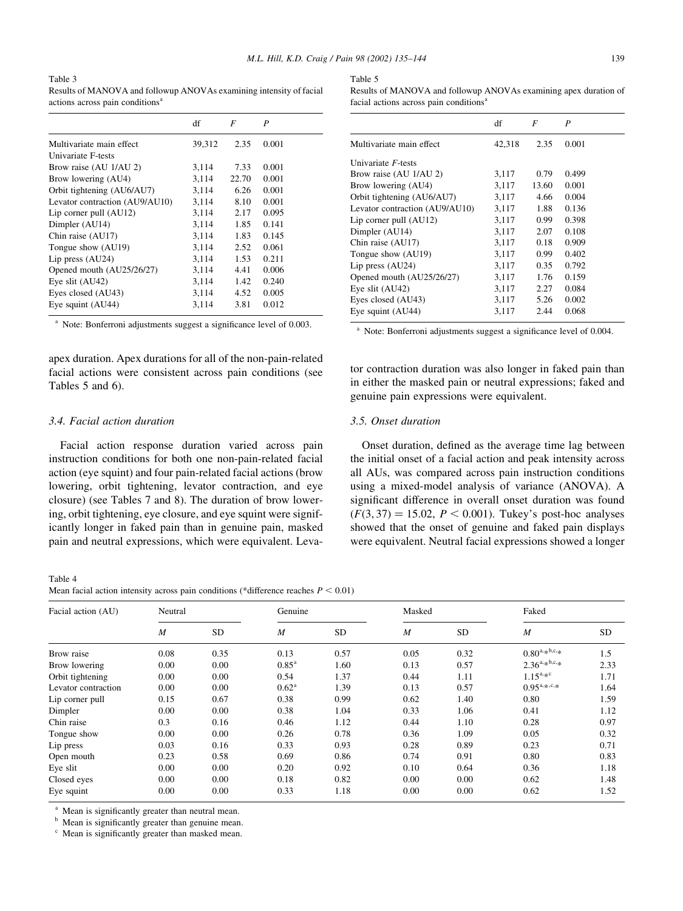Table 3 Results of MANOVA and followup ANOVAs examining intensity of facial actions across pain conditions<sup>a</sup>

|                                | df     | F     | P     |
|--------------------------------|--------|-------|-------|
| Multivariate main effect       | 39,312 | 2.35  | 0.001 |
| Univariate F-tests             |        |       |       |
| Brow raise (AU 1/AU 2)         | 3,114  | 7.33  | 0.001 |
| Brow lowering (AU4)            | 3,114  | 22.70 | 0.001 |
| Orbit tightening (AU6/AU7)     | 3,114  | 6.26  | 0.001 |
| Levator contraction (AU9/AU10) | 3,114  | 8.10  | 0.001 |
| Lip corner pull $(AU12)$       | 3.114  | 2.17  | 0.095 |
| Dimpler (AU14)                 | 3,114  | 1.85  | 0.141 |
| Chin raise (AU17)              | 3,114  | 1.83  | 0.145 |
| Tongue show (AU19)             | 3.114  | 2.52  | 0.061 |
| Lip press $(AU24)$             | 3.114  | 1.53  | 0.211 |
| Opened mouth (AU25/26/27)      | 3,114  | 4.41  | 0.006 |
| Eye slit (AU42)                | 3,114  | 1.42  | 0.240 |
| Eyes closed (AU43)             | 3,114  | 4.52  | 0.005 |
| Eye squint (AU44)              | 3,114  | 3.81  | 0.012 |

 $a$  Note: Bonferroni adjustments suggest a significance level of 0.003.

apex duration. Apex durations for all of the non-pain-related facial actions were consistent across pain conditions (see Tables 5 and 6).

## 3.4. Facial action duration

Facial action response duration varied across pain instruction conditions for both one non-pain-related facial action (eye squint) and four pain-related facial actions (brow lowering, orbit tightening, levator contraction, and eye closure) (see Tables 7 and 8). The duration of brow lowering, orbit tightening, eye closure, and eye squint were significantly longer in faked pain than in genuine pain, masked pain and neutral expressions, which were equivalent. Leva-

Table 4

| Mean facial action intensity across pain conditions (*difference reaches $P < 0.01$ ) |  |  |  |  |  |
|---------------------------------------------------------------------------------------|--|--|--|--|--|
|---------------------------------------------------------------------------------------|--|--|--|--|--|

| Table 5                                                          |
|------------------------------------------------------------------|
| Results of MANOVA and followup ANOVAs examining apex duration of |
| facial actions across pain conditions <sup>a</sup>               |

|                                | df     | F     | P     |
|--------------------------------|--------|-------|-------|
| Multivariate main effect       | 42,318 | 2.35  | 0.001 |
| Univariate F-tests             |        |       |       |
| Brow raise (AU 1/AU 2)         | 3,117  | 0.79  | 0.499 |
| Brow lowering (AU4)            | 3,117  | 13.60 | 0.001 |
| Orbit tightening (AU6/AU7)     | 3,117  | 4.66  | 0.004 |
| Levator contraction (AU9/AU10) | 3,117  | 1.88  | 0.136 |
| Lip corner pull $(AU12)$       | 3,117  | 0.99  | 0.398 |
| Dimpler (AU14)                 | 3,117  | 2.07  | 0.108 |
| Chin raise (AU17)              | 3,117  | 0.18  | 0.909 |
| Tongue show (AU19)             | 3,117  | 0.99  | 0.402 |
| Lip press $(AU24)$             | 3,117  | 0.35  | 0.792 |
| Opened mouth (AU25/26/27)      | 3,117  | 1.76  | 0.159 |
| Eye slit (AU42)                | 3,117  | 2.27  | 0.084 |
| Eyes closed (AU43)             | 3,117  | 5.26  | 0.002 |
| Eye squint (AU44)              | 3.117  | 2.44  | 0.068 |

<sup>a</sup> Note: Bonferroni adjustments suggest a significance level of 0.004.

tor contraction duration was also longer in faked pain than in either the masked pain or neutral expressions; faked and genuine pain expressions were equivalent.

## 3.5. Onset duration

Onset duration, defined as the average time lag between the initial onset of a facial action and peak intensity across all AUs, was compared across pain instruction conditions using a mixed-model analysis of variance (ANOVA). A significant difference in overall onset duration was found  $(F(3, 37) = 15.02, P < 0.001)$ . Tukey's post-hoc analyses showed that the onset of genuine and faked pain displays were equivalent. Neutral facial expressions showed a longer

| Facial action (AU)  | Neutral        |           | Genuine           |           | Masked         |           | Faked                   |           |
|---------------------|----------------|-----------|-------------------|-----------|----------------|-----------|-------------------------|-----------|
|                     | $\overline{M}$ | <b>SD</b> | $\boldsymbol{M}$  | <b>SD</b> | $\overline{M}$ | <b>SD</b> | $\boldsymbol{M}$        | <b>SD</b> |
| Brow raise          | 0.08           | 0.35      | 0.13              | 0.57      | 0.05           | 0.32      | $0.80^{a,*b,c,*}$       | 1.5       |
| Brow lowering       | 0.00           | 0.00      | $0.85^{\text{a}}$ | 1.60      | 0.13           | 0.57      | $2.36^{a,*b,c,*}$       | 2.33      |
| Orbit tightening    | 0.00           | 0.00      | 0.54              | 1.37      | 0.44           | 1.11      | $1.15^{a,*c}$           | 1.71      |
| Levator contraction | 0.00           | 0.00      | $0.62^{\text{a}}$ | 1.39      | 0.13           | 0.57      | $0.95^{a_{,*,c_{,,*}}}$ | 1.64      |
| Lip corner pull     | 0.15           | 0.67      | 0.38              | 0.99      | 0.62           | 1.40      | 0.80                    | 1.59      |
| Dimpler             | 0.00           | 0.00      | 0.38              | 1.04      | 0.33           | 1.06      | 0.41                    | 1.12      |
| Chin raise          | 0.3            | 0.16      | 0.46              | 1.12      | 0.44           | 1.10      | 0.28                    | 0.97      |
| Tongue show         | 0.00           | 0.00      | 0.26              | 0.78      | 0.36           | 1.09      | 0.05                    | 0.32      |
| Lip press           | 0.03           | 0.16      | 0.33              | 0.93      | 0.28           | 0.89      | 0.23                    | 0.71      |
| Open mouth          | 0.23           | 0.58      | 0.69              | 0.86      | 0.74           | 0.91      | 0.80                    | 0.83      |
| Eye slit            | 0.00           | 0.00      | 0.20              | 0.92      | 0.10           | 0.64      | 0.36                    | 1.18      |
| Closed eyes         | 0.00           | 0.00      | 0.18              | 0.82      | 0.00           | 0.00      | 0.62                    | 1.48      |
| Eye squint          | 0.00           | 0.00      | 0.33              | 1.18      | 0.00           | 0.00      | 0.62                    | 1.52      |

<sup>a</sup> Mean is significantly greater than neutral mean.<sup>b</sup> Mean is significantly greater than genuine mean

Mean is significantly greater than genuine mean.

Mean is significantly greater than masked mean.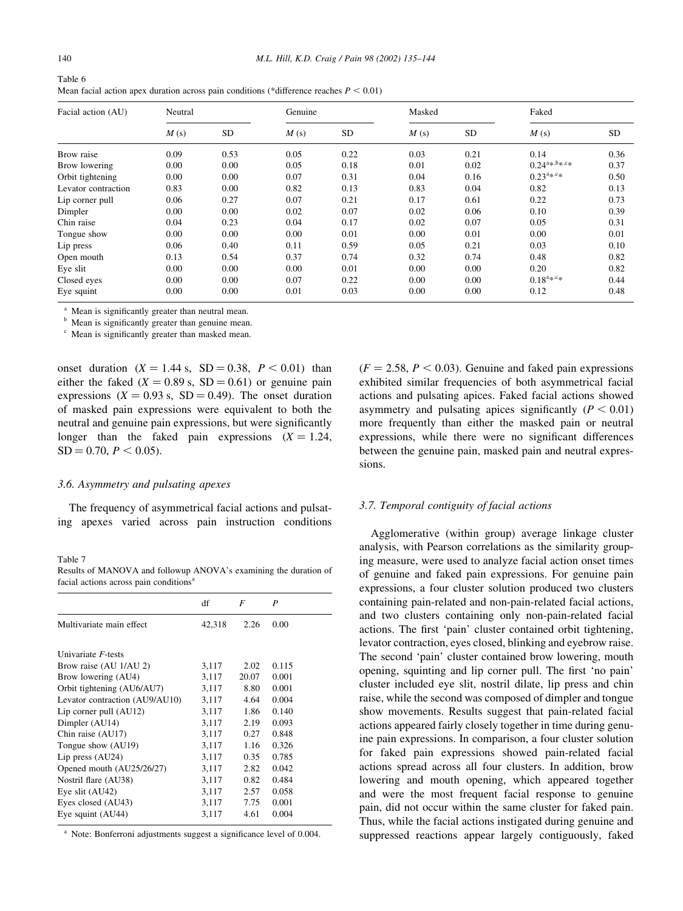| Table 6 |                                                                                             |
|---------|---------------------------------------------------------------------------------------------|
|         | Mean facial action apex duration across pain conditions (*difference reaches $P \le 0.01$ ) |

| Facial action (AU)  | Neutral |           | Genuine |           | Masked |           | Faked                      |           |
|---------------------|---------|-----------|---------|-----------|--------|-----------|----------------------------|-----------|
|                     | M(s)    | <b>SD</b> | M(s)    | <b>SD</b> | M(s)   | <b>SD</b> | M(s)                       | <b>SD</b> |
| Brow raise          | 0.09    | 0.53      | 0.05    | 0.22      | 0.03   | 0.21      | 0.14                       | 0.36      |
| Brow lowering       | 0.00    | 0.00      | 0.05    | 0.18      | 0.01   | 0.02      | $0.24^{a_{*},b_{*},c_{*}}$ | 0.37      |
| Orbit tightening    | 0.00    | 0.00      | 0.07    | 0.31      | 0.04   | 0.16      | $0.23^{a_{*},c_{*}}$       | 0.50      |
| Levator contraction | 0.83    | 0.00      | 0.82    | 0.13      | 0.83   | 0.04      | 0.82                       | 0.13      |
| Lip corner pull     | 0.06    | 0.27      | 0.07    | 0.21      | 0.17   | 0.61      | 0.22                       | 0.73      |
| Dimpler             | 0.00    | 0.00      | 0.02    | 0.07      | 0.02   | 0.06      | 0.10                       | 0.39      |
| Chin raise          | 0.04    | 0.23      | 0.04    | 0.17      | 0.02   | 0.07      | 0.05                       | 0.31      |
| Tongue show         | 0.00    | 0.00      | 0.00    | 0.01      | 0.00   | 0.01      | 0.00                       | 0.01      |
| Lip press           | 0.06    | 0.40      | 0.11    | 0.59      | 0.05   | 0.21      | 0.03                       | 0.10      |
| Open mouth          | 0.13    | 0.54      | 0.37    | 0.74      | 0.32   | 0.74      | 0.48                       | 0.82      |
| Eye slit            | 0.00    | 0.00      | 0.00    | 0.01      | 0.00   | 0.00      | 0.20                       | 0.82      |
| Closed eyes         | 0.00    | 0.00      | 0.07    | 0.22      | 0.00   | 0.00      | $0.18^{a_{*},c_{*}}$       | 0.44      |
| Eye squint          | 0.00    | 0.00      | 0.01    | 0.03      | 0.00   | 0.00      | 0.12                       | 0.48      |

Mean is significantly greater than neutral mean.

Mean is significantly greater than genuine mean.

Mean is significantly greater than masked mean.

onset duration  $(X = 1.44 \text{ s}, SD = 0.38, P < 0.01)$  than either the faked  $(X = 0.89 \text{ s}, SD = 0.61)$  or genuine pain expressions ( $X = 0.93$  s,  $SD = 0.49$ ). The onset duration of masked pain expressions were equivalent to both the neutral and genuine pain expressions, but were significantly longer than the faked pain expressions  $(X = 1.24,$  $SD = 0.70, P < 0.05$ .

#### 3.6. Asymmetry and pulsating apexes

The frequency of asymmetrical facial actions and pulsating apexes varied across pain instruction conditions

#### Table 7

Results of MANOVA and followup ANOVA's examining the duration of facial actions across pain conditions<sup>a</sup>

|                                | df     | F     | P     |
|--------------------------------|--------|-------|-------|
| Multivariate main effect       | 42,318 | 2.26  | 0.00  |
| Univariate F-tests             |        |       |       |
| Brow raise (AU 1/AU 2)         | 3,117  | 2.02  | 0.115 |
| Brow lowering (AU4)            | 3,117  | 20.07 | 0.001 |
| Orbit tightening (AU6/AU7)     | 3,117  | 8.80  | 0.001 |
| Levator contraction (AU9/AU10) | 3,117  | 4.64  | 0.004 |
| Lip corner pull (AU12)         | 3,117  | 1.86  | 0.140 |
| Dimpler (AU14)                 | 3,117  | 2.19  | 0.093 |
| Chin raise (AU17)              | 3,117  | 0.27  | 0.848 |
| Tongue show (AU19)             | 3.117  | 1.16  | 0.326 |
| Lip press $(AU24)$             | 3,117  | 0.35  | 0.785 |
| Opened mouth (AU25/26/27)      | 3,117  | 2.82  | 0.042 |
| Nostril flare (AU38)           | 3,117  | 0.82  | 0.484 |
| Eye slit (AU42)                | 3,117  | 2.57  | 0.058 |
| Eyes closed (AU43)             | 3,117  | 7.75  | 0.001 |
| Eye squint (AU44)              | 3,117  | 4.61  | 0.004 |

<sup>a</sup> Note: Bonferroni adjustments suggest a significance level of 0.004.

 $(F = 2.58, P < 0.03)$ . Genuine and faked pain expressions exhibited similar frequencies of both asymmetrical facial actions and pulsating apices. Faked facial actions showed asymmetry and pulsating apices significantly ( $P < 0.01$ ) more frequently than either the masked pain or neutral expressions, while there were no significant differences between the genuine pain, masked pain and neutral expressions.

#### 3.7. Temporal contiguity of facial actions

Agglomerative (within group) average linkage cluster analysis, with Pearson correlations as the similarity grouping measure, were used to analyze facial action onset times of genuine and faked pain expressions. For genuine pain expressions, a four cluster solution produced two clusters containing pain-related and non-pain-related facial actions, and two clusters containing only non-pain-related facial actions. The first 'pain' cluster contained orbit tightening, levator contraction, eyes closed, blinking and eyebrow raise. The second 'pain' cluster contained brow lowering, mouth opening, squinting and lip corner pull. The first 'no pain' cluster included eye slit, nostril dilate, lip press and chin raise, while the second was composed of dimpler and tongue show movements. Results suggest that pain-related facial actions appeared fairly closely together in time during genuine pain expressions. In comparison, a four cluster solution for faked pain expressions showed pain-related facial actions spread across all four clusters. In addition, brow lowering and mouth opening, which appeared together and were the most frequent facial response to genuine pain, did not occur within the same cluster for faked pain. Thus, while the facial actions instigated during genuine and suppressed reactions appear largely contiguously, faked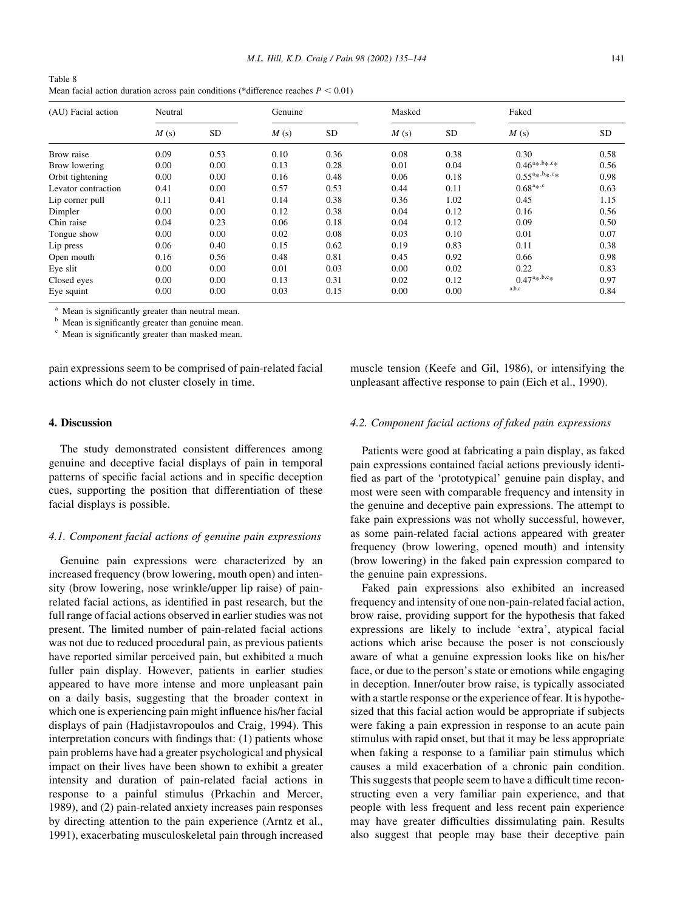| Table 8 |                                                                                        |
|---------|----------------------------------------------------------------------------------------|
|         | Mean facial action duration across pain conditions (*difference reaches $P \le 0.01$ ) |

| (AU) Facial action  | Neutral |      | Genuine |           | Masked |           | Faked                      |           |
|---------------------|---------|------|---------|-----------|--------|-----------|----------------------------|-----------|
|                     | M(s)    | SD   | M(s)    | <b>SD</b> | M(s)   | <b>SD</b> | M(s)                       | <b>SD</b> |
| Brow raise          | 0.09    | 0.53 | 0.10    | 0.36      | 0.08   | 0.38      | 0.30                       | 0.58      |
| Brow lowering       | 0.00    | 0.00 | 0.13    | 0.28      | 0.01   | 0.04      | $0.46^{a_{*},b_{*},c_{*}}$ | 0.56      |
| Orbit tightening    | 0.00    | 0.00 | 0.16    | 0.48      | 0.06   | 0.18      | $0.55^{a_{*},b_{*},c_{*}}$ | 0.98      |
| Levator contraction | 0.41    | 0.00 | 0.57    | 0.53      | 0.44   | 0.11      | $0.68^{a_{*},c}$           | 0.63      |
| Lip corner pull     | 0.11    | 0.41 | 0.14    | 0.38      | 0.36   | 1.02      | 0.45                       | 1.15      |
| Dimpler             | 0.00    | 0.00 | 0.12    | 0.38      | 0.04   | 0.12      | 0.16                       | 0.56      |
| Chin raise          | 0.04    | 0.23 | 0.06    | 0.18      | 0.04   | 0.12      | 0.09                       | 0.50      |
| Tongue show         | 0.00    | 0.00 | 0.02    | 0.08      | 0.03   | 0.10      | 0.01                       | 0.07      |
| Lip press           | 0.06    | 0.40 | 0.15    | 0.62      | 0.19   | 0.83      | 0.11                       | 0.38      |
| Open mouth          | 0.16    | 0.56 | 0.48    | 0.81      | 0.45   | 0.92      | 0.66                       | 0.98      |
| Eye slit            | 0.00    | 0.00 | 0.01    | 0.03      | 0.00   | 0.02      | 0.22                       | 0.83      |
| Closed eyes         | 0.00    | 0.00 | 0.13    | 0.31      | 0.02   | 0.12      | $0.47^{a_{*},b,c_{*}}$     | 0.97      |
| Eye squint          | 0.00    | 0.00 | 0.03    | 0.15      | 0.00   | 0.00      | a,b,c                      | 0.84      |

Mean is significantly greater than neutral mean.

Mean is significantly greater than genuine mean.

Mean is significantly greater than masked mean.

pain expressions seem to be comprised of pain-related facial actions which do not cluster closely in time.

## 4. Discussion

The study demonstrated consistent differences among genuine and deceptive facial displays of pain in temporal patterns of specific facial actions and in specific deception cues, supporting the position that differentiation of these facial displays is possible.

### 4.1. Component facial actions of genuine pain expressions

Genuine pain expressions were characterized by an increased frequency (brow lowering, mouth open) and intensity (brow lowering, nose wrinkle/upper lip raise) of painrelated facial actions, as identified in past research, but the full range of facial actions observed in earlier studies was not present. The limited number of pain-related facial actions was not due to reduced procedural pain, as previous patients have reported similar perceived pain, but exhibited a much fuller pain display. However, patients in earlier studies appeared to have more intense and more unpleasant pain on a daily basis, suggesting that the broader context in which one is experiencing pain might influence his/her facial displays of pain (Hadjistavropoulos and Craig, 1994). This interpretation concurs with findings that: (1) patients whose pain problems have had a greater psychological and physical impact on their lives have been shown to exhibit a greater intensity and duration of pain-related facial actions in response to a painful stimulus (Prkachin and Mercer, 1989), and (2) pain-related anxiety increases pain responses by directing attention to the pain experience (Arntz et al., 1991), exacerbating musculoskeletal pain through increased

muscle tension (Keefe and Gil, 1986), or intensifying the unpleasant affective response to pain (Eich et al., 1990).

# 4.2. Component facial actions of faked pain expressions

Patients were good at fabricating a pain display, as faked pain expressions contained facial actions previously identified as part of the 'prototypical' genuine pain display, and most were seen with comparable frequency and intensity in the genuine and deceptive pain expressions. The attempt to fake pain expressions was not wholly successful, however, as some pain-related facial actions appeared with greater frequency (brow lowering, opened mouth) and intensity (brow lowering) in the faked pain expression compared to the genuine pain expressions.

Faked pain expressions also exhibited an increased frequency and intensity of one non-pain-related facial action, brow raise, providing support for the hypothesis that faked expressions are likely to include 'extra', atypical facial actions which arise because the poser is not consciously aware of what a genuine expression looks like on his/her face, or due to the person's state or emotions while engaging in deception. Inner/outer brow raise, is typically associated with a startle response or the experience of fear. It is hypothesized that this facial action would be appropriate if subjects were faking a pain expression in response to an acute pain stimulus with rapid onset, but that it may be less appropriate when faking a response to a familiar pain stimulus which causes a mild exacerbation of a chronic pain condition. This suggests that people seem to have a difficult time reconstructing even a very familiar pain experience, and that people with less frequent and less recent pain experience may have greater difficulties dissimulating pain. Results also suggest that people may base their deceptive pain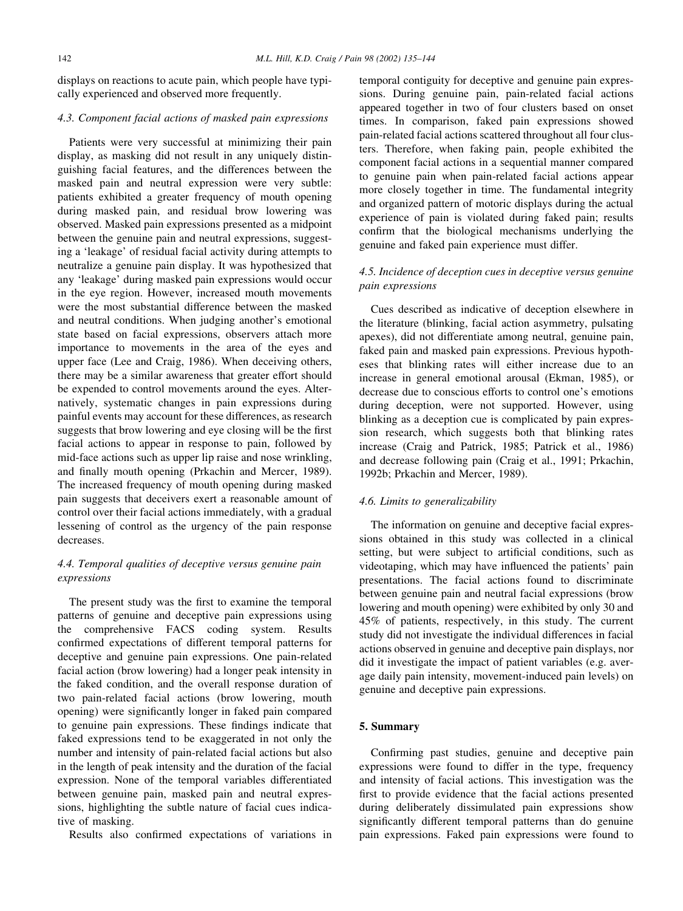displays on reactions to acute pain, which people have typically experienced and observed more frequently.

## 4.3. Component facial actions of masked pain expressions

Patients were very successful at minimizing their pain display, as masking did not result in any uniquely distinguishing facial features, and the differences between the masked pain and neutral expression were very subtle: patients exhibited a greater frequency of mouth opening during masked pain, and residual brow lowering was observed. Masked pain expressions presented as a midpoint between the genuine pain and neutral expressions, suggesting a 'leakage' of residual facial activity during attempts to neutralize a genuine pain display. It was hypothesized that any 'leakage' during masked pain expressions would occur in the eye region. However, increased mouth movements were the most substantial difference between the masked and neutral conditions. When judging another's emotional state based on facial expressions, observers attach more importance to movements in the area of the eyes and upper face (Lee and Craig, 1986). When deceiving others, there may be a similar awareness that greater effort should be expended to control movements around the eyes. Alternatively, systematic changes in pain expressions during painful events may account for these differences, as research suggests that brow lowering and eye closing will be the first facial actions to appear in response to pain, followed by mid-face actions such as upper lip raise and nose wrinkling, and finally mouth opening (Prkachin and Mercer, 1989). The increased frequency of mouth opening during masked pain suggests that deceivers exert a reasonable amount of control over their facial actions immediately, with a gradual lessening of control as the urgency of the pain response decreases.

## 4.4. Temporal qualities of deceptive versus genuine pain expressions

The present study was the first to examine the temporal patterns of genuine and deceptive pain expressions using the comprehensive FACS coding system. Results confirmed expectations of different temporal patterns for deceptive and genuine pain expressions. One pain-related facial action (brow lowering) had a longer peak intensity in the faked condition, and the overall response duration of two pain-related facial actions (brow lowering, mouth opening) were significantly longer in faked pain compared to genuine pain expressions. These findings indicate that faked expressions tend to be exaggerated in not only the number and intensity of pain-related facial actions but also in the length of peak intensity and the duration of the facial expression. None of the temporal variables differentiated between genuine pain, masked pain and neutral expressions, highlighting the subtle nature of facial cues indicative of masking.

Results also confirmed expectations of variations in

temporal contiguity for deceptive and genuine pain expressions. During genuine pain, pain-related facial actions appeared together in two of four clusters based on onset times. In comparison, faked pain expressions showed pain-related facial actions scattered throughout all four clusters. Therefore, when faking pain, people exhibited the component facial actions in a sequential manner compared to genuine pain when pain-related facial actions appear more closely together in time. The fundamental integrity and organized pattern of motoric displays during the actual experience of pain is violated during faked pain; results confirm that the biological mechanisms underlying the genuine and faked pain experience must differ.

## 4.5. Incidence of deception cues in deceptive versus genuine pain expressions

Cues described as indicative of deception elsewhere in the literature (blinking, facial action asymmetry, pulsating apexes), did not differentiate among neutral, genuine pain, faked pain and masked pain expressions. Previous hypotheses that blinking rates will either increase due to an increase in general emotional arousal (Ekman, 1985), or decrease due to conscious efforts to control one's emotions during deception, were not supported. However, using blinking as a deception cue is complicated by pain expression research, which suggests both that blinking rates increase (Craig and Patrick, 1985; Patrick et al., 1986) and decrease following pain (Craig et al., 1991; Prkachin, 1992b; Prkachin and Mercer, 1989).

#### 4.6. Limits to generalizability

The information on genuine and deceptive facial expressions obtained in this study was collected in a clinical setting, but were subject to artificial conditions, such as videotaping, which may have influenced the patients' pain presentations. The facial actions found to discriminate between genuine pain and neutral facial expressions (brow lowering and mouth opening) were exhibited by only 30 and 45% of patients, respectively, in this study. The current study did not investigate the individual differences in facial actions observed in genuine and deceptive pain displays, nor did it investigate the impact of patient variables (e.g. average daily pain intensity, movement-induced pain levels) on genuine and deceptive pain expressions.

#### 5. Summary

Confirming past studies, genuine and deceptive pain expressions were found to differ in the type, frequency and intensity of facial actions. This investigation was the first to provide evidence that the facial actions presented during deliberately dissimulated pain expressions show significantly different temporal patterns than do genuine pain expressions. Faked pain expressions were found to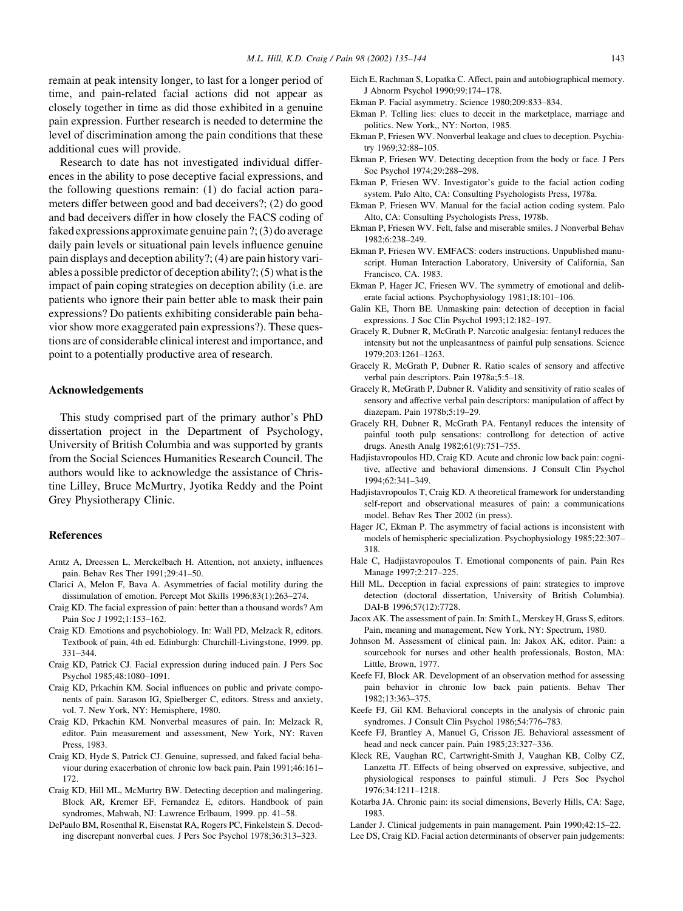remain at peak intensity longer, to last for a longer period of time, and pain-related facial actions did not appear as closely together in time as did those exhibited in a genuine pain expression. Further research is needed to determine the level of discrimination among the pain conditions that these additional cues will provide.

Research to date has not investigated individual differences in the ability to pose deceptive facial expressions, and the following questions remain: (1) do facial action parameters differ between good and bad deceivers?; (2) do good and bad deceivers differ in how closely the FACS coding of faked expressions approximate genuine pain ?; (3) do average daily pain levels or situational pain levels influence genuine pain displays and deception ability?; (4) are pain history variables a possible predictor of deception ability?; (5) what is the impact of pain coping strategies on deception ability (i.e. are patients who ignore their pain better able to mask their pain expressions? Do patients exhibiting considerable pain behavior show more exaggerated pain expressions?). These questions are of considerable clinical interest and importance, and point to a potentially productive area of research.

#### Acknowledgements

This study comprised part of the primary author's PhD dissertation project in the Department of Psychology, University of British Columbia and was supported by grants from the Social Sciences Humanities Research Council. The authors would like to acknowledge the assistance of Christine Lilley, Bruce McMurtry, Jyotika Reddy and the Point Grey Physiotherapy Clinic.

## References

- Arntz A, Dreessen L, Merckelbach H. Attention, not anxiety, influences pain. Behav Res Ther 1991;29:41–50.
- Clarici A, Melon F, Bava A. Asymmetries of facial motility during the dissimulation of emotion. Percept Mot Skills 1996;83(1):263–274.
- Craig KD. The facial expression of pain: better than a thousand words? Am Pain Soc J 1992;1:153–162.
- Craig KD. Emotions and psychobiology. In: Wall PD, Melzack R, editors. Textbook of pain, 4th ed. Edinburgh: Churchill-Livingstone, 1999. pp. 331–344.
- Craig KD, Patrick CJ. Facial expression during induced pain. J Pers Soc Psychol 1985;48:1080–1091.
- Craig KD, Prkachin KM. Social influences on public and private components of pain. Sarason IG, Spielberger C, editors. Stress and anxiety, vol. 7. New York, NY: Hemisphere, 1980.
- Craig KD, Prkachin KM. Nonverbal measures of pain. In: Melzack R, editor. Pain measurement and assessment, New York, NY: Raven Press, 1983.
- Craig KD, Hyde S, Patrick CJ. Genuine, supressed, and faked facial behaviour during exacerbation of chronic low back pain. Pain 1991;46:161– 172.
- Craig KD, Hill ML, McMurtry BW. Detecting deception and malingering. Block AR, Kremer EF, Fernandez E, editors. Handbook of pain syndromes, Mahwah, NJ: Lawrence Erlbaum, 1999. pp. 41–58.
- DePaulo BM, Rosenthal R, Eisenstat RA, Rogers PC, Finkelstein S. Decoding discrepant nonverbal cues. J Pers Soc Psychol 1978;36:313–323.
- Eich E, Rachman S, Lopatka C. Affect, pain and autobiographical memory. J Abnorm Psychol 1990;99:174–178.
- Ekman P. Facial asymmetry. Science 1980;209:833–834.
- Ekman P. Telling lies: clues to deceit in the marketplace, marriage and politics. New York,, NY: Norton, 1985.
- Ekman P, Friesen WV. Nonverbal leakage and clues to deception. Psychiatry 1969;32:88–105.
- Ekman P, Friesen WV. Detecting deception from the body or face. J Pers Soc Psychol 1974;29:288–298.
- Ekman P, Friesen WV. Investigator's guide to the facial action coding system. Palo Alto, CA: Consulting Psychologists Press, 1978a.
- Ekman P, Friesen WV. Manual for the facial action coding system. Palo Alto, CA: Consulting Psychologists Press, 1978b.
- Ekman P, Friesen WV. Felt, false and miserable smiles. J Nonverbal Behav 1982;6:238–249.
- Ekman P, Friesen WV. EMFACS: coders instructions. Unpublished manuscript. Human Interaction Laboratory, University of California, San Francisco, CA. 1983.
- Ekman P, Hager JC, Friesen WV. The symmetry of emotional and deliberate facial actions. Psychophysiology 1981;18:101–106.
- Galin KE, Thorn BE. Unmasking pain: detection of deception in facial expressions. J Soc Clin Psychol 1993;12:182–197.
- Gracely R, Dubner R, McGrath P. Narcotic analgesia: fentanyl reduces the intensity but not the unpleasantness of painful pulp sensations. Science 1979;203:1261–1263.
- Gracely R, McGrath P, Dubner R. Ratio scales of sensory and affective verbal pain descriptors. Pain 1978a;5:5–18.
- Gracely R, McGrath P, Dubner R. Validity and sensitivity of ratio scales of sensory and affective verbal pain descriptors: manipulation of affect by diazepam. Pain 1978b;5:19–29.
- Gracely RH, Dubner R, McGrath PA. Fentanyl reduces the intensity of painful tooth pulp sensations: controllong for detection of active drugs. Anesth Analg 1982;61(9):751–755.
- Hadjistavropoulos HD, Craig KD. Acute and chronic low back pain: cognitive, affective and behavioral dimensions. J Consult Clin Psychol 1994;62:341–349.
- Hadjistavropoulos T, Craig KD. A theoretical framework for understanding self-report and observational measures of pain: a communications model. Behav Res Ther 2002 (in press).
- Hager JC, Ekman P. The asymmetry of facial actions is inconsistent with models of hemispheric specialization. Psychophysiology 1985;22:307– 318.
- Hale C, Hadjistavropoulos T. Emotional components of pain. Pain Res Manage 1997;2:217–225.
- Hill ML. Deception in facial expressions of pain: strategies to improve detection (doctoral dissertation, University of British Columbia). DAI-B 1996;57(12):7728.
- Jacox AK. The assessment of pain. In: Smith L, Merskey H, Grass S, editors. Pain, meaning and management, New York, NY: Spectrum, 1980.
- Johnson M. Assessment of clinical pain. In: Jakox AK, editor. Pain: a sourcebook for nurses and other health professionals, Boston, MA: Little, Brown, 1977.
- Keefe FJ, Block AR. Development of an observation method for assessing pain behavior in chronic low back pain patients. Behav Ther 1982;13:363–375.
- Keefe FJ, Gil KM. Behavioral concepts in the analysis of chronic pain syndromes. J Consult Clin Psychol 1986;54:776–783.
- Keefe FJ, Brantley A, Manuel G, Crisson JE. Behavioral assessment of head and neck cancer pain. Pain 1985;23:327–336.
- Kleck RE, Vaughan RC, Cartwright-Smith J, Vaughan KB, Colby CZ, Lanzetta JT. Effects of being observed on expressive, subjective, and physiological responses to painful stimuli. J Pers Soc Psychol 1976;34:1211–1218.
- Kotarba JA. Chronic pain: its social dimensions, Beverly Hills, CA: Sage, 1983.

Lander J. Clinical judgements in pain management. Pain 1990;42:15–22.

Lee DS, Craig KD. Facial action determinants of observer pain judgements: